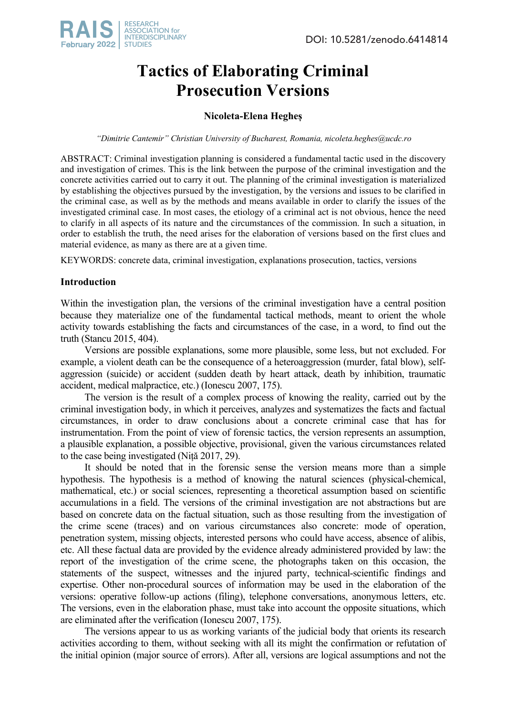# **Tactics of Elaborating Criminal Prosecution Versions**

# **Nicoleta-Elena Hegheș**

*"Dimitrie Cantemir" Christian University of Bucharest, Romania, nicoleta.heghes@ucdc.ro*

ABSTRACT: Criminal investigation planning is considered a fundamental tactic used in the discovery and investigation of crimes. This is the link between the purpose of the criminal investigation and the concrete activities carried out to carry it out. The planning of the criminal investigation is materialized by establishing the objectives pursued by the investigation, by the versions and issues to be clarified in the criminal case, as well as by the methods and means available in order to clarify the issues of the investigated criminal case. In most cases, the etiology of a criminal act is not obvious, hence the need to clarify in all aspects of its nature and the circumstances of the commission. In such a situation, in order to establish the truth, the need arises for the elaboration of versions based on the first clues and material evidence, as many as there are at a given time.

KEYWORDS: concrete data, criminal investigation, explanations prosecution, tactics, versions

# **Introduction**

Within the investigation plan, the versions of the criminal investigation have a central position because they materialize one of the fundamental tactical methods, meant to orient the whole activity towards establishing the facts and circumstances of the case, in a word, to find out the truth (Stancu 2015, 404).

Versions are possible explanations, some more plausible, some less, but not excluded. For example, a violent death can be the consequence of a heteroaggression (murder, fatal blow), selfaggression (suicide) or accident (sudden death by heart attack, death by inhibition, traumatic accident, medical malpractice, etc.) (Ionescu 2007, 175).

The version is the result of a complex process of knowing the reality, carried out by the criminal investigation body, in which it perceives, analyzes and systematizes the facts and factual circumstances, in order to draw conclusions about a concrete criminal case that has for instrumentation. From the point of view of forensic tactics, the version represents an assumption, a plausible explanation, a possible objective, provisional, given the various circumstances related to the case being investigated (Niță 2017, 29).

It should be noted that in the forensic sense the version means more than a simple hypothesis. The hypothesis is a method of knowing the natural sciences (physical-chemical, mathematical, etc.) or social sciences, representing a theoretical assumption based on scientific accumulations in a field. The versions of the criminal investigation are not abstractions but are based on concrete data on the factual situation, such as those resulting from the investigation of the crime scene (traces) and on various circumstances also concrete: mode of operation, penetration system, missing objects, interested persons who could have access, absence of alibis, etc. All these factual data are provided by the evidence already administered provided by law: the report of the investigation of the crime scene, the photographs taken on this occasion, the statements of the suspect, witnesses and the injured party, technical-scientific findings and expertise. Other non-procedural sources of information may be used in the elaboration of the versions: operative follow-up actions (filing), telephone conversations, anonymous letters, etc. The versions, even in the elaboration phase, must take into account the opposite situations, which are eliminated after the verification (Ionescu 2007, 175).

The versions appear to us as working variants of the judicial body that orients its research activities according to them, without seeking with all its might the confirmation or refutation of the initial opinion (major source of errors). After all, versions are logical assumptions and not the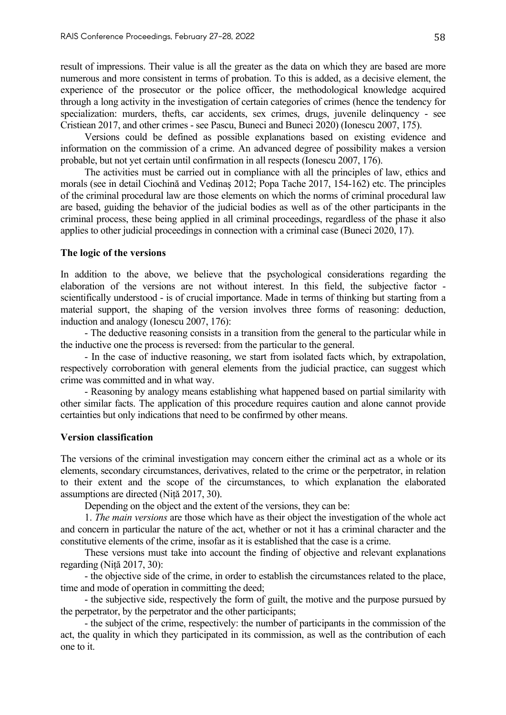result of impressions. Their value is all the greater as the data on which they are based are more numerous and more consistent in terms of probation. To this is added, as a decisive element, the experience of the prosecutor or the police officer, the methodological knowledge acquired through a long activity in the investigation of certain categories of crimes (hence the tendency for specialization: murders, thefts, car accidents, sex crimes, drugs, juvenile delinquency - see Cristiean 2017, and other crimes - see Pascu, Buneci and Buneci 2020) (Ionescu 2007, 175).

Versions could be defined as possible explanations based on existing evidence and information on the commission of a crime. An advanced degree of possibility makes a version probable, but not yet certain until confirmation in all respects (Ionescu 2007, 176).

The activities must be carried out in compliance with all the principles of law, ethics and morals (see in detail Ciochină and Vedinaș 2012; Popa Tache 2017, 154-162) etc. The principles of the criminal procedural law are those elements on which the norms of criminal procedural law are based, guiding the behavior of the judicial bodies as well as of the other participants in the criminal process, these being applied in all criminal proceedings, regardless of the phase it also applies to other judicial proceedings in connection with a criminal case (Buneci 2020, 17).

#### **The logic of the versions**

In addition to the above, we believe that the psychological considerations regarding the elaboration of the versions are not without interest. In this field, the subjective factor scientifically understood - is of crucial importance. Made in terms of thinking but starting from a material support, the shaping of the version involves three forms of reasoning: deduction, induction and analogy (Ionescu 2007, 176):

- The deductive reasoning consists in a transition from the general to the particular while in the inductive one the process is reversed: from the particular to the general.

- In the case of inductive reasoning, we start from isolated facts which, by extrapolation, respectively corroboration with general elements from the judicial practice, can suggest which crime was committed and in what way.

- Reasoning by analogy means establishing what happened based on partial similarity with other similar facts. The application of this procedure requires caution and alone cannot provide certainties but only indications that need to be confirmed by other means.

### **Version classification**

The versions of the criminal investigation may concern either the criminal act as a whole or its elements, secondary circumstances, derivatives, related to the crime or the perpetrator, in relation to their extent and the scope of the circumstances, to which explanation the elaborated assumptions are directed (Niță 2017, 30).

Depending on the object and the extent of the versions, they can be:

1. *The main versions* are those which have as their object the investigation of the whole act and concern in particular the nature of the act, whether or not it has a criminal character and the constitutive elements of the crime, insofar as it is established that the case is a crime.

These versions must take into account the finding of objective and relevant explanations regarding (Niță 2017, 30):

- the objective side of the crime, in order to establish the circumstances related to the place, time and mode of operation in committing the deed;

- the subjective side, respectively the form of guilt, the motive and the purpose pursued by the perpetrator, by the perpetrator and the other participants;

- the subject of the crime, respectively: the number of participants in the commission of the act, the quality in which they participated in its commission, as well as the contribution of each one to it.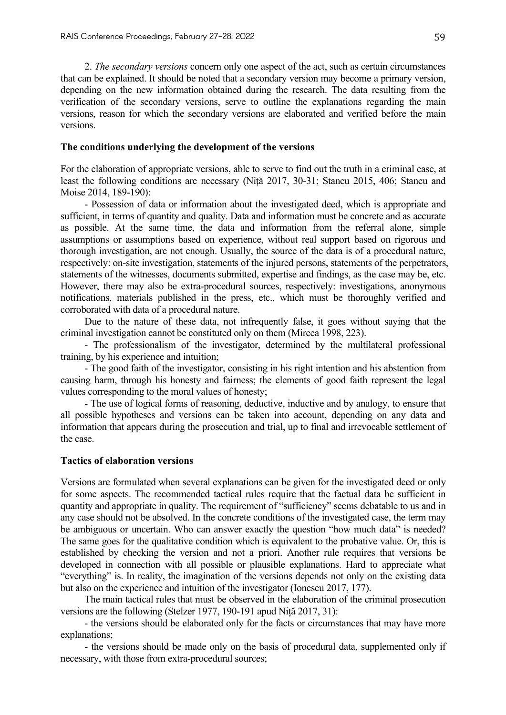2. *The secondary versions* concern only one aspect of the act, such as certain circumstances that can be explained. It should be noted that a secondary version may become a primary version, depending on the new information obtained during the research. The data resulting from the verification of the secondary versions, serve to outline the explanations regarding the main versions, reason for which the secondary versions are elaborated and verified before the main versions.

#### **The conditions underlying the development of the versions**

For the elaboration of appropriate versions, able to serve to find out the truth in a criminal case, at least the following conditions are necessary (Niță 2017, 30-31; Stancu 2015, 406; Stancu and Moise 2014, 189-190):

- Possession of data or information about the investigated deed, which is appropriate and sufficient, in terms of quantity and quality. Data and information must be concrete and as accurate as possible. At the same time, the data and information from the referral alone, simple assumptions or assumptions based on experience, without real support based on rigorous and thorough investigation, are not enough. Usually, the source of the data is of a procedural nature, respectively: on-site investigation, statements of the injured persons, statements of the perpetrators, statements of the witnesses, documents submitted, expertise and findings, as the case may be, etc. However, there may also be extra-procedural sources, respectively: investigations, anonymous notifications, materials published in the press, etc., which must be thoroughly verified and corroborated with data of a procedural nature.

Due to the nature of these data, not infrequently false, it goes without saying that the criminal investigation cannot be constituted only on them (Mircea 1998, 223).

- The professionalism of the investigator, determined by the multilateral professional training, by his experience and intuition;

- The good faith of the investigator, consisting in his right intention and his abstention from causing harm, through his honesty and fairness; the elements of good faith represent the legal values corresponding to the moral values of honesty;

- The use of logical forms of reasoning, deductive, inductive and by analogy, to ensure that all possible hypotheses and versions can be taken into account, depending on any data and information that appears during the prosecution and trial, up to final and irrevocable settlement of the case.

## **Tactics of elaboration versions**

Versions are formulated when several explanations can be given for the investigated deed or only for some aspects. The recommended tactical rules require that the factual data be sufficient in quantity and appropriate in quality. The requirement of "sufficiency" seems debatable to us and in any case should not be absolved. In the concrete conditions of the investigated case, the term may be ambiguous or uncertain. Who can answer exactly the question "how much data" is needed? The same goes for the qualitative condition which is equivalent to the probative value. Or, this is established by checking the version and not a priori. Another rule requires that versions be developed in connection with all possible or plausible explanations. Hard to appreciate what "everything" is. In reality, the imagination of the versions depends not only on the existing data but also on the experience and intuition of the investigator (Ionescu 2017, 177).

The main tactical rules that must be observed in the elaboration of the criminal prosecution versions are the following (Stelzer 1977, 190-191 apud Niță 2017, 31):

- the versions should be elaborated only for the facts or circumstances that may have more explanations;

- the versions should be made only on the basis of procedural data, supplemented only if necessary, with those from extra-procedural sources;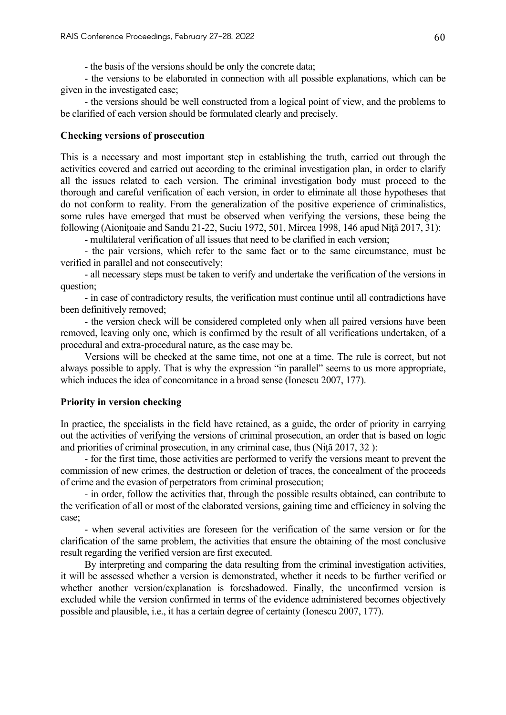- the basis of the versions should be only the concrete data;

- the versions to be elaborated in connection with all possible explanations, which can be given in the investigated case;

- the versions should be well constructed from a logical point of view, and the problems to be clarified of each version should be formulated clearly and precisely.

# **Checking versions of prosecution**

This is a necessary and most important step in establishing the truth, carried out through the activities covered and carried out according to the criminal investigation plan, in order to clarify all the issues related to each version. The criminal investigation body must proceed to the thorough and careful verification of each version, in order to eliminate all those hypotheses that do not conform to reality. From the generalization of the positive experience of criminalistics, some rules have emerged that must be observed when verifying the versions, these being the following (Aionițoaie and Sandu 21-22, Suciu 1972, 501, Mircea 1998, 146 apud Niță 2017, 31):

- multilateral verification of all issues that need to be clarified in each version;

- the pair versions, which refer to the same fact or to the same circumstance, must be verified in parallel and not consecutively;

- all necessary steps must be taken to verify and undertake the verification of the versions in question;

- in case of contradictory results, the verification must continue until all contradictions have been definitively removed;

- the version check will be considered completed only when all paired versions have been removed, leaving only one, which is confirmed by the result of all verifications undertaken, of a procedural and extra-procedural nature, as the case may be.

Versions will be checked at the same time, not one at a time. The rule is correct, but not always possible to apply. That is why the expression "in parallel" seems to us more appropriate, which induces the idea of concomitance in a broad sense (Ionescu 2007, 177).

# **Priority in version checking**

In practice, the specialists in the field have retained, as a guide, the order of priority in carrying out the activities of verifying the versions of criminal prosecution, an order that is based on logic and priorities of criminal prosecution, in any criminal case, thus (Niță 2017, 32 ):

- for the first time, those activities are performed to verify the versions meant to prevent the commission of new crimes, the destruction or deletion of traces, the concealment of the proceeds of crime and the evasion of perpetrators from criminal prosecution;

- in order, follow the activities that, through the possible results obtained, can contribute to the verification of all or most of the elaborated versions, gaining time and efficiency in solving the case;

- when several activities are foreseen for the verification of the same version or for the clarification of the same problem, the activities that ensure the obtaining of the most conclusive result regarding the verified version are first executed.

By interpreting and comparing the data resulting from the criminal investigation activities, it will be assessed whether a version is demonstrated, whether it needs to be further verified or whether another version/explanation is foreshadowed. Finally, the unconfirmed version is excluded while the version confirmed in terms of the evidence administered becomes objectively possible and plausible, i.e., it has a certain degree of certainty (Ionescu 2007, 177).